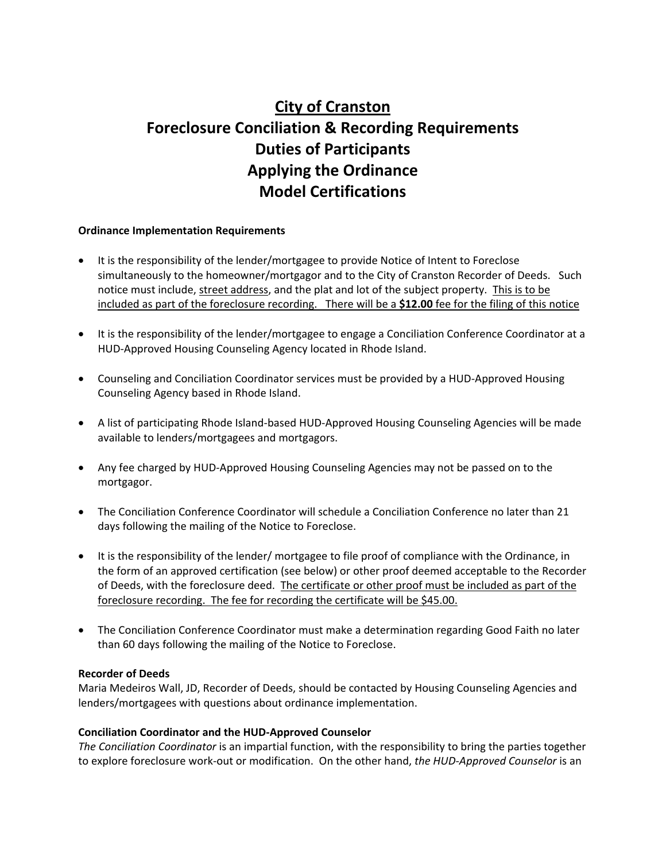# **City of Cranston Foreclosure Conciliation & Recording Requirements Duties of Participants Applying the Ordinance Model Certifications**

## **Ordinance Implementation Requirements**

- It is the responsibility of the lender/mortgagee to provide Notice of Intent to Foreclose simultaneously to the homeowner/mortgagor and to the City of Cranston Recorder of Deeds. Such notice must include, street address, and the plat and lot of the subject property. This is to be included as part of the foreclosure recording. There will be a **\$12.00** fee for the filing of this notice
- It is the responsibility of the lender/mortgagee to engage a Conciliation Conference Coordinator at a HUD‐Approved Housing Counseling Agency located in Rhode Island.
- Counseling and Conciliation Coordinator services must be provided by a HUD‐Approved Housing Counseling Agency based in Rhode Island.
- A list of participating Rhode Island‐based HUD‐Approved Housing Counseling Agencies will be made available to lenders/mortgagees and mortgagors.
- Any fee charged by HUD‐Approved Housing Counseling Agencies may not be passed on to the mortgagor.
- The Conciliation Conference Coordinator will schedule a Conciliation Conference no later than 21 days following the mailing of the Notice to Foreclose.
- It is the responsibility of the lender/ mortgagee to file proof of compliance with the Ordinance, in the form of an approved certification (see below) or other proof deemed acceptable to the Recorder of Deeds, with the foreclosure deed. The certificate or other proof must be included as part of the foreclosure recording. The fee for recording the certificate will be \$45.00.
- The Conciliation Conference Coordinator must make a determination regarding Good Faith no later than 60 days following the mailing of the Notice to Foreclose.

#### **Recorder of Deeds**

Maria Medeiros Wall, JD, Recorder of Deeds, should be contacted by Housing Counseling Agencies and lenders/mortgagees with questions about ordinance implementation.

## **Conciliation Coordinator and the HUD‐Approved Counselor**

*The Conciliation Coordinator* is an impartial function, with the responsibility to bring the parties together to explore foreclosure work‐out or modification. On the other hand, *the HUD‐Approved Counselor* is an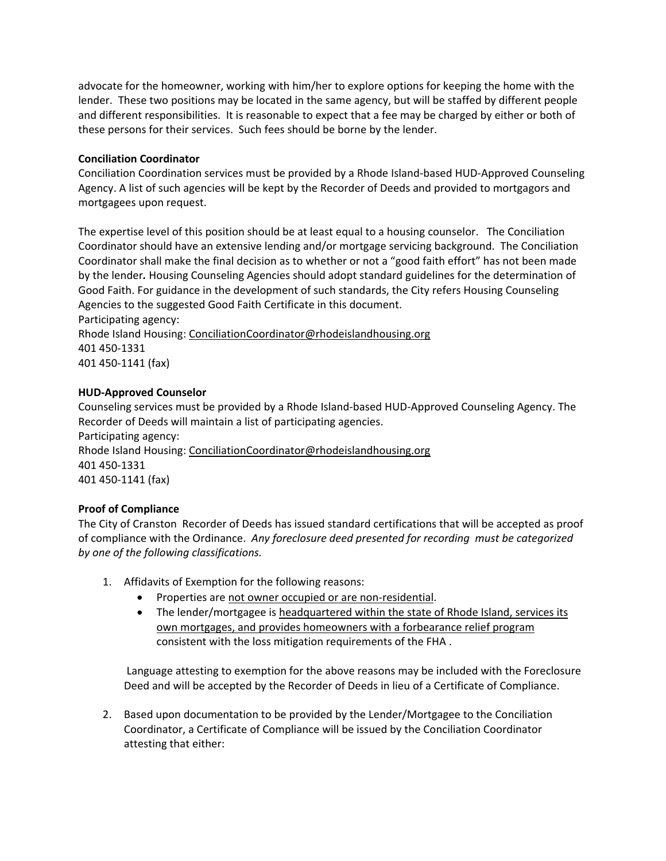advocate for the homeowner, working with him/her to explore options for keeping the home with the lender. These two positions may be located in the same agency, but will be staffed by different people and different responsibilities. It is reasonable to expect that a fee may be charged by either or both of these persons for their services. Such fees should be borne by the lender.

## **Conciliation Coordinator**

Conciliation Coordination services must be provided by a Rhode Island‐based HUD‐Approved Counseling Agency. A list of such agencies will be kept by the Recorder of Deeds and provided to mortgagors and mortgagees upon request.

The expertise level of this position should be at least equal to a housing counselor. The Conciliation Coordinator should have an extensive lending and/or mortgage servicing background. The Conciliation Coordinator shall make the final decision as to whether or not a "good faith effort" has not been made by the lender*.* Housing Counseling Agencies should adopt standard guidelines for the determination of Good Faith. For guidance in the development of such standards, the City refers Housing Counseling Agencies to the suggested Good Faith Certificate in this document. Participating agency:

Rhode Island Housing: ConciliationCoordinator@rhodeislandhousing.org 401 450‐1331 401 450‐1141 (fax)

## **HUD‐Approved Counselor**

Counseling services must be provided by a Rhode Island‐based HUD‐Approved Counseling Agency. The Recorder of Deeds will maintain a list of participating agencies. Participating agency: Rhode Island Housing: ConciliationCoordinator@rhodeislandhousing.org 401 450‐1331 401 450‐1141 (fax)

# **Proof of Compliance**

The City of Cranston Recorder of Deeds has issued standard certifications that will be accepted as proof of compliance with the Ordinance. *Any foreclosure deed presented for recording must be categorized by one of the following classifications.*

- 1. Affidavits of Exemption for the following reasons:
	- Properties are not owner occupied or are non-residential.
	- The lender/mortgagee is headquartered within the state of Rhode Island, services its own mortgages, and provides homeowners with a forbearance relief program consistent with the loss mitigation requirements of the FHA .

Language attesting to exemption for the above reasons may be included with the Foreclosure Deed and will be accepted by the Recorder of Deeds in lieu of a Certificate of Compliance.

2. Based upon documentation to be provided by the Lender/Mortgagee to the Conciliation Coordinator, a Certificate of Compliance will be issued by the Conciliation Coordinator attesting that either: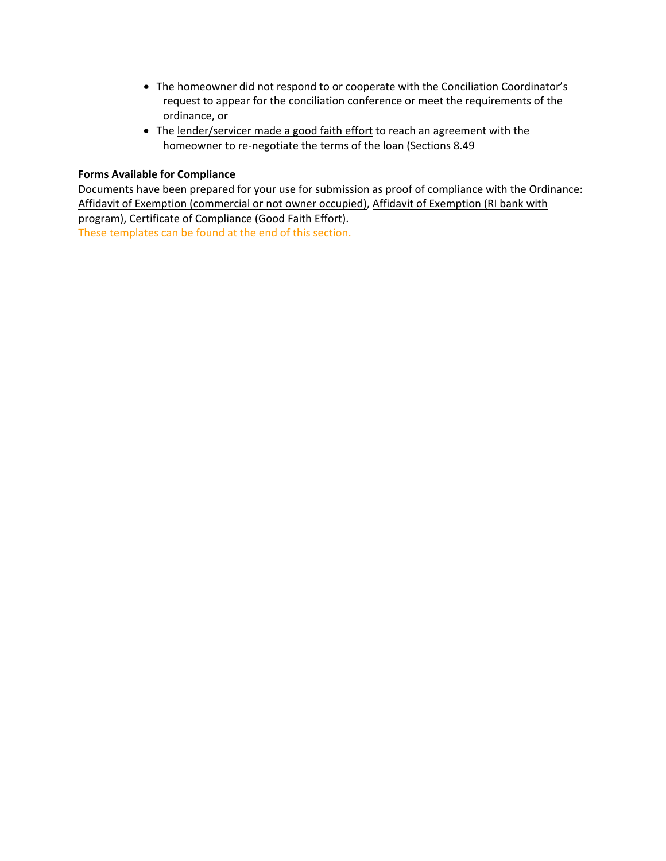- The homeowner did not respond to or cooperate with the Conciliation Coordinator's request to appear for the conciliation conference or meet the requirements of the ordinance, or
- The lender/servicer made a good faith effort to reach an agreement with the homeowner to re-negotiate the terms of the loan (Sections 8.49

#### **Forms Available for Compliance**

Documents have been prepared for your use for submission as proof of compliance with the Ordinance: Affidavit of Exemption (commercial or not owner occupied), Affidavit of Exemption (RI bank with program), Certificate of Compliance (Good Faith Effort). These templates can be found at the end of this section.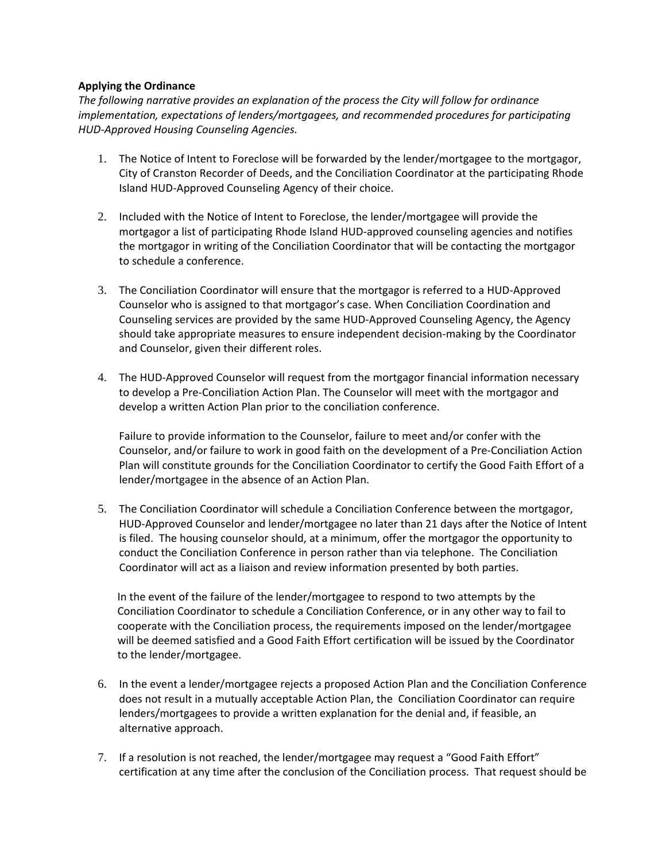## **Applying the Ordinance**

*The following narrative provides an explanation of the process the City will follow for ordinance implementation, expectations of lenders/mortgagees, and recommended procedures for participating HUD‐Approved Housing Counseling Agencies.* 

- 1. The Notice of Intent to Foreclose will be forwarded by the lender/mortgagee to the mortgagor, City of Cranston Recorder of Deeds, and the Conciliation Coordinator at the participating Rhode Island HUD‐Approved Counseling Agency of their choice.
- 2. Included with the Notice of Intent to Foreclose, the lender/mortgagee will provide the mortgagor a list of participating Rhode Island HUD‐approved counseling agencies and notifies the mortgagor in writing of the Conciliation Coordinator that will be contacting the mortgagor to schedule a conference.
- 3. The Conciliation Coordinator will ensure that the mortgagor is referred to a HUD-Approved Counselor who is assigned to that mortgagor's case. When Conciliation Coordination and Counseling services are provided by the same HUD‐Approved Counseling Agency, the Agency should take appropriate measures to ensure independent decision‐making by the Coordinator and Counselor, given their different roles.
- 4. The HUD‐Approved Counselor will request from the mortgagor financial information necessary to develop a Pre‐Conciliation Action Plan. The Counselor will meet with the mortgagor and develop a written Action Plan prior to the conciliation conference.

Failure to provide information to the Counselor, failure to meet and/or confer with the Counselor, and/or failure to work in good faith on the development of a Pre‐Conciliation Action Plan will constitute grounds for the Conciliation Coordinator to certify the Good Faith Effort of a lender/mortgagee in the absence of an Action Plan.

5. The Conciliation Coordinator will schedule a Conciliation Conference between the mortgagor, HUD‐Approved Counselor and lender/mortgagee no later than 21 days after the Notice of Intent is filed. The housing counselor should, at a minimum, offer the mortgagor the opportunity to conduct the Conciliation Conference in person rather than via telephone. The Conciliation Coordinator will act as a liaison and review information presented by both parties.

In the event of the failure of the lender/mortgagee to respond to two attempts by the Conciliation Coordinator to schedule a Conciliation Conference, or in any other way to fail to cooperate with the Conciliation process, the requirements imposed on the lender/mortgagee will be deemed satisfied and a Good Faith Effort certification will be issued by the Coordinator to the lender/mortgagee.

- 6. In the event a lender/mortgagee rejects a proposed Action Plan and the Conciliation Conference does not result in a mutually acceptable Action Plan, the Conciliation Coordinator can require lenders/mortgagees to provide a written explanation for the denial and, if feasible, an alternative approach.
- 7. If a resolution is not reached, the lender/mortgagee may request a "Good Faith Effort" certification at any time after the conclusion of the Conciliation process. That request should be